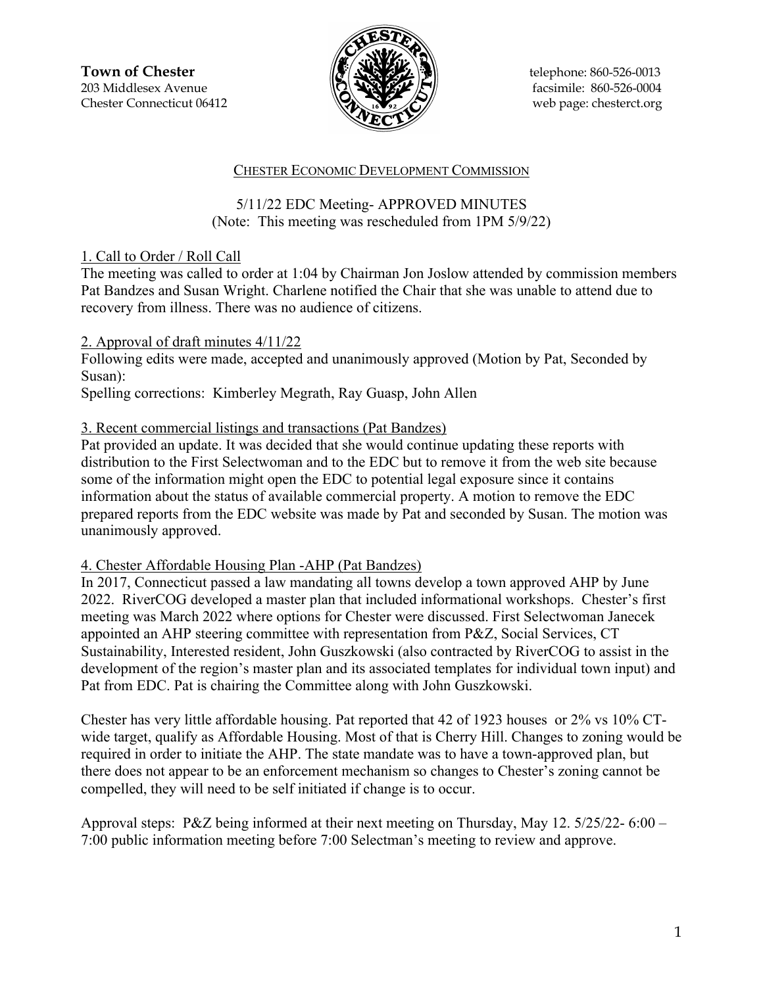**Town of Chester**  $\|\mathcal{F}(\mathbf{N}\| \mathbf{X})\|$  telephone: 860-526-0013 203 Middlesex Avenue  $\overline{Q}$   $\overline{Q}$   $\overline{P}$  facsimile: 860-526-0004 Chester Connecticut 06412 Web page: chesterct.org



#### CHESTER ECONOMIC DEVELOPMENT COMMISSION

## 5/11/22 EDC Meeting- APPROVED MINUTES (Note: This meeting was rescheduled from 1PM 5/9/22)

### 1. Call to Order / Roll Call

The meeting was called to order at 1:04 by Chairman Jon Joslow attended by commission members Pat Bandzes and Susan Wright. Charlene notified the Chair that she was unable to attend due to recovery from illness. There was no audience of citizens.

## 2. Approval of draft minutes 4/11/22

Following edits were made, accepted and unanimously approved (Motion by Pat, Seconded by Susan):

Spelling corrections: Kimberley Megrath, Ray Guasp, John Allen

## 3. Recent commercial listings and transactions (Pat Bandzes)

Pat provided an update. It was decided that she would continue updating these reports with distribution to the First Selectwoman and to the EDC but to remove it from the web site because some of the information might open the EDC to potential legal exposure since it contains information about the status of available commercial property. A motion to remove the EDC prepared reports from the EDC website was made by Pat and seconded by Susan. The motion was unanimously approved.

### 4. Chester Affordable Housing Plan -AHP (Pat Bandzes)

In 2017, Connecticut passed a law mandating all towns develop a town approved AHP by June 2022. RiverCOG developed a master plan that included informational workshops. Chester's first meeting was March 2022 where options for Chester were discussed. First Selectwoman Janecek appointed an AHP steering committee with representation from P&Z, Social Services, CT Sustainability, Interested resident, John Guszkowski (also contracted by RiverCOG to assist in the development of the region's master plan and its associated templates for individual town input) and Pat from EDC. Pat is chairing the Committee along with John Guszkowski.

Chester has very little affordable housing. Pat reported that 42 of 1923 houses or 2% vs 10% CTwide target, qualify as Affordable Housing. Most of that is Cherry Hill. Changes to zoning would be required in order to initiate the AHP. The state mandate was to have a town-approved plan, but there does not appear to be an enforcement mechanism so changes to Chester's zoning cannot be compelled, they will need to be self initiated if change is to occur.

Approval steps: P&Z being informed at their next meeting on Thursday, May 12. 5/25/22- 6:00 – 7:00 public information meeting before 7:00 Selectman's meeting to review and approve.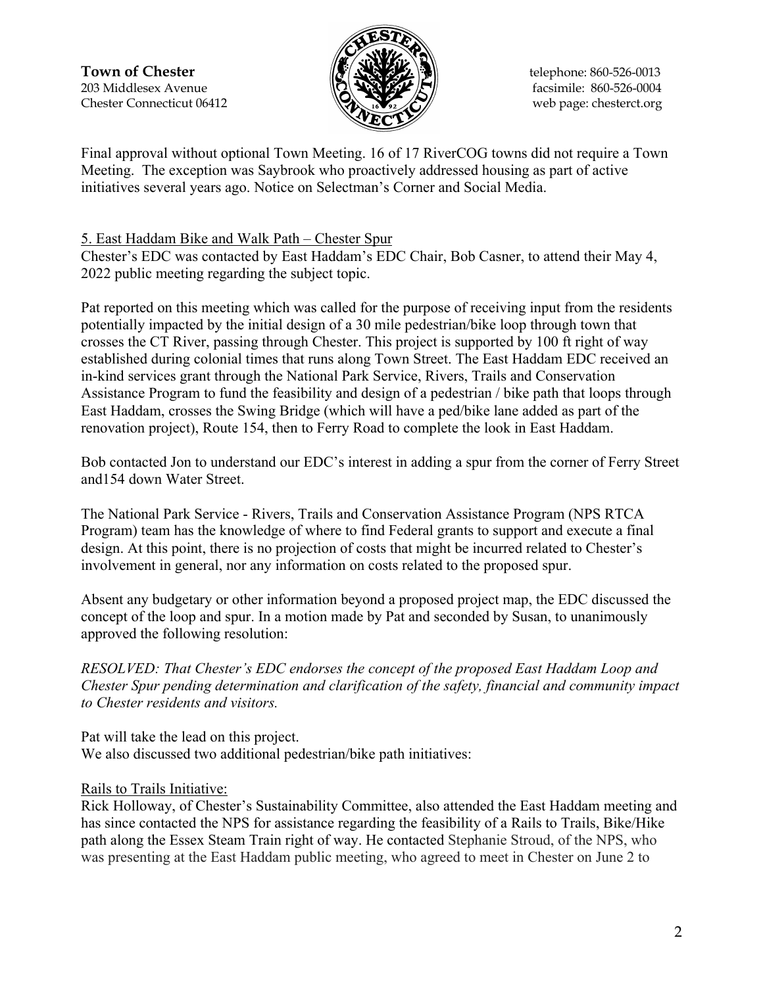**Town of Chester**  $\|\mathcal{F}(\mathbf{N}\| \mathbf{X})\|$  telephone: 860-526-0013 203 Middlesex Avenue  $\binom{2}{2}$   $\binom{3}{2}$   $\binom{4}{2}$  facsimile: 860-526-0004 Chester Connecticut 06412 Web page: chesterct.org



Final approval without optional Town Meeting. 16 of 17 RiverCOG towns did not require a Town Meeting. The exception was Saybrook who proactively addressed housing as part of active initiatives several years ago. Notice on Selectman's Corner and Social Media.

## 5. East Haddam Bike and Walk Path – Chester Spur

Chester's EDC was contacted by East Haddam's EDC Chair, Bob Casner, to attend their May 4, 2022 public meeting regarding the subject topic.

Pat reported on this meeting which was called for the purpose of receiving input from the residents potentially impacted by the initial design of a 30 mile pedestrian/bike loop through town that crosses the CT River, passing through Chester. This project is supported by 100 ft right of way established during colonial times that runs along Town Street. The East Haddam EDC received an in-kind services grant through the National Park Service, Rivers, Trails and Conservation Assistance Program to fund the feasibility and design of a pedestrian / bike path that loops through East Haddam, crosses the Swing Bridge (which will have a ped/bike lane added as part of the renovation project), Route 154, then to Ferry Road to complete the look in East Haddam.

Bob contacted Jon to understand our EDC's interest in adding a spur from the corner of Ferry Street and154 down Water Street.

The National Park Service - Rivers, Trails and Conservation Assistance Program (NPS RTCA Program) team has the knowledge of where to find Federal grants to support and execute a final design. At this point, there is no projection of costs that might be incurred related to Chester's involvement in general, nor any information on costs related to the proposed spur.

Absent any budgetary or other information beyond a proposed project map, the EDC discussed the concept of the loop and spur. In a motion made by Pat and seconded by Susan, to unanimously approved the following resolution:

*RESOLVED: That Chester's EDC endorses the concept of the proposed East Haddam Loop and Chester Spur pending determination and clarification of the safety, financial and community impact to Chester residents and visitors.*

Pat will take the lead on this project. We also discussed two additional pedestrian/bike path initiatives:

### Rails to Trails Initiative:

Rick Holloway, of Chester's Sustainability Committee, also attended the East Haddam meeting and has since contacted the NPS for assistance regarding the feasibility of a Rails to Trails, Bike/Hike path along the Essex Steam Train right of way. He contacted Stephanie Stroud, of the NPS, who was presenting at the East Haddam public meeting, who agreed to meet in Chester on June 2 to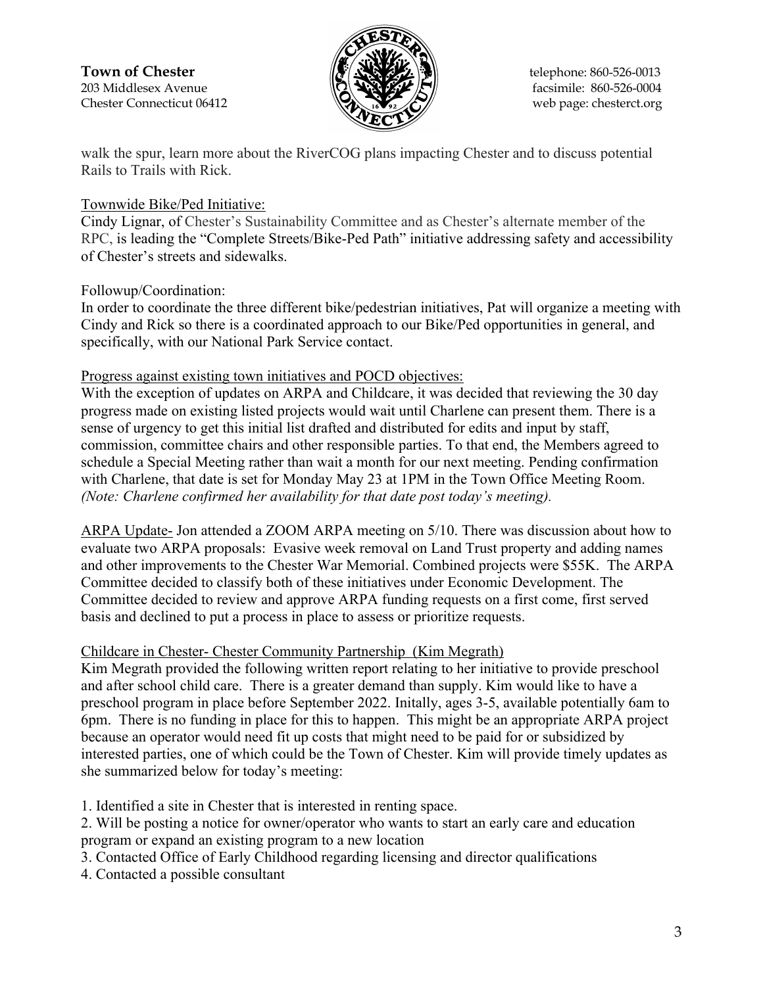

walk the spur, learn more about the RiverCOG plans impacting Chester and to discuss potential Rails to Trails with Rick.

## Townwide Bike/Ped Initiative:

Cindy Lignar, of Chester's Sustainability Committee and as Chester's alternate member of the RPC, is leading the "Complete Streets/Bike-Ped Path" initiative addressing safety and accessibility of Chester's streets and sidewalks.

# Followup/Coordination:

In order to coordinate the three different bike/pedestrian initiatives, Pat will organize a meeting with Cindy and Rick so there is a coordinated approach to our Bike/Ped opportunities in general, and specifically, with our National Park Service contact.

### Progress against existing town initiatives and POCD objectives:

With the exception of updates on ARPA and Childcare, it was decided that reviewing the 30 day progress made on existing listed projects would wait until Charlene can present them. There is a sense of urgency to get this initial list drafted and distributed for edits and input by staff, commission, committee chairs and other responsible parties. To that end, the Members agreed to schedule a Special Meeting rather than wait a month for our next meeting. Pending confirmation with Charlene, that date is set for Monday May 23 at 1PM in the Town Office Meeting Room. *(Note: Charlene confirmed her availability for that date post today's meeting).*

ARPA Update- Jon attended a ZOOM ARPA meeting on 5/10. There was discussion about how to evaluate two ARPA proposals: Evasive week removal on Land Trust property and adding names and other improvements to the Chester War Memorial. Combined projects were \$55K. The ARPA Committee decided to classify both of these initiatives under Economic Development. The Committee decided to review and approve ARPA funding requests on a first come, first served basis and declined to put a process in place to assess or prioritize requests.

# Childcare in Chester- Chester Community Partnership (Kim Megrath)

Kim Megrath provided the following written report relating to her initiative to provide preschool and after school child care. There is a greater demand than supply. Kim would like to have a preschool program in place before September 2022. Initally, ages 3-5, available potentially 6am to 6pm. There is no funding in place for this to happen. This might be an appropriate ARPA project because an operator would need fit up costs that might need to be paid for or subsidized by interested parties, one of which could be the Town of Chester. Kim will provide timely updates as she summarized below for today's meeting:

1. Identified a site in Chester that is interested in renting space.

2. Will be posting a notice for owner/operator who wants to start an early care and education program or expand an existing program to a new location

3. Contacted Office of Early Childhood regarding licensing and director qualifications

4. Contacted a possible consultant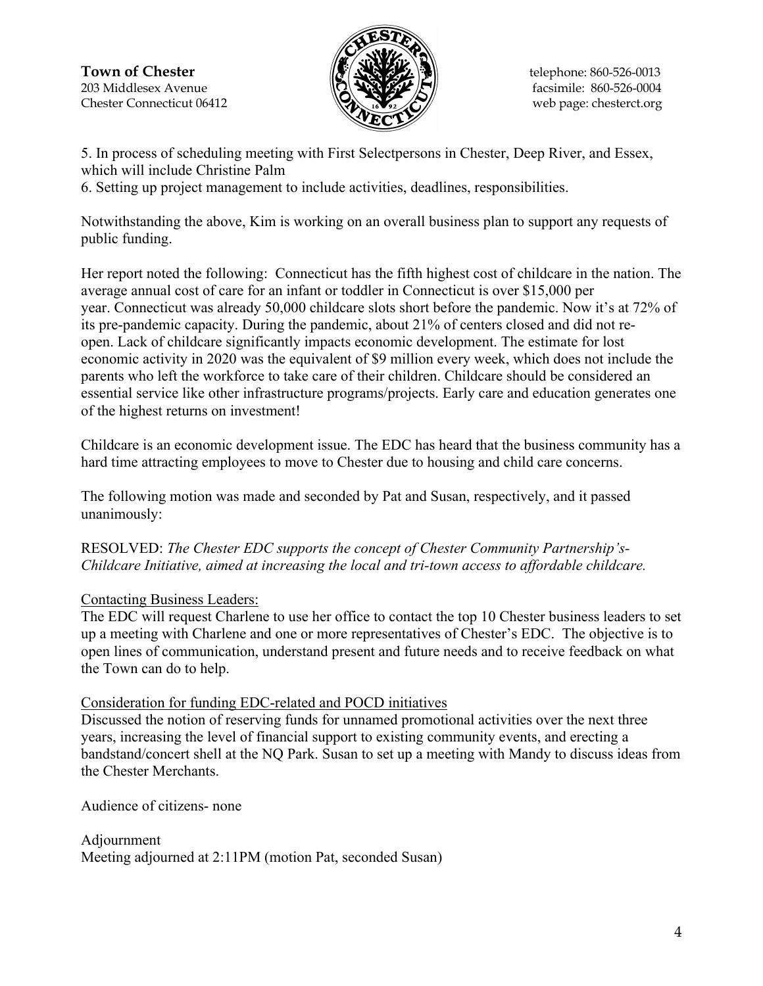**Town of Chester**  $\|\mathcal{F}(\mathbf{N}\| \mathbf{X})\|$  telephone: 860-526-0013 203 Middlesex Avenue  $\binom{2}{2}$   $\binom{3}{2}$   $\binom{4}{2}$  facsimile: 860-526-0004 Chester Connecticut 06412 Web page: chesterct.org



5. In process of scheduling meeting with First Selectpersons in Chester, Deep River, and Essex, which will include Christine Palm

6. Setting up project management to include activities, deadlines, responsibilities.

Notwithstanding the above, Kim is working on an overall business plan to support any requests of public funding.

Her report noted the following: Connecticut has the fifth highest cost of childcare in the nation. The average annual cost of care for an infant or toddler in Connecticut is over \$15,000 per year. Connecticut was already 50,000 childcare slots short before the pandemic. Now it's at 72% of its pre-pandemic capacity. During the pandemic, about 21% of centers closed and did not reopen. Lack of childcare significantly impacts economic development. The estimate for lost economic activity in 2020 was the equivalent of \$9 million every week, which does not include the parents who left the workforce to take care of their children. Childcare should be considered an essential service like other infrastructure programs/projects. Early care and education generates one of the highest returns on investment!

Childcare is an economic development issue. The EDC has heard that the business community has a hard time attracting employees to move to Chester due to housing and child care concerns.

The following motion was made and seconded by Pat and Susan, respectively, and it passed unanimously:

RESOLVED: *The Chester EDC supports the concept of Chester Community Partnership's-Childcare Initiative, aimed at increasing the local and tri-town access to affordable childcare.*

# Contacting Business Leaders:

The EDC will request Charlene to use her office to contact the top 10 Chester business leaders to set up a meeting with Charlene and one or more representatives of Chester's EDC. The objective is to open lines of communication, understand present and future needs and to receive feedback on what the Town can do to help.

### Consideration for funding EDC-related and POCD initiatives

Discussed the notion of reserving funds for unnamed promotional activities over the next three years, increasing the level of financial support to existing community events, and erecting a bandstand/concert shell at the NQ Park. Susan to set up a meeting with Mandy to discuss ideas from the Chester Merchants.

Audience of citizens- none

Adjournment Meeting adjourned at 2:11PM (motion Pat, seconded Susan)